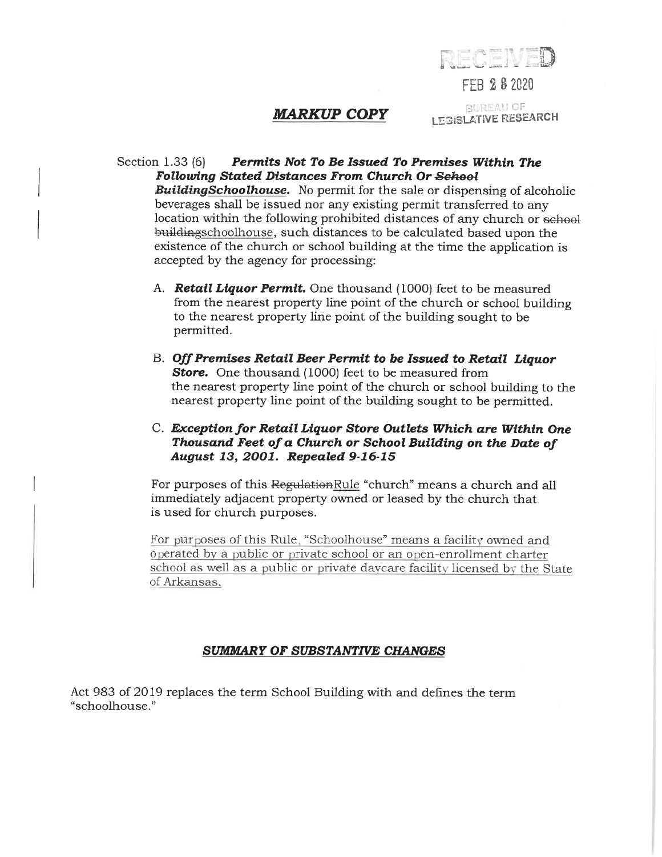

FEB 28 2020

## **MARKUP COPY**

**BUREAU OF LEGISLATIVE RESEARCH** 

## Section 1.33 (6) Permits Not To Be Issued To Premises Within The **Following Stated Distances From Church Or School**

**BuildingSchoolhouse.** No permit for the sale or dispensing of alcoholic beverages shall be issued nor any existing permit transferred to any location within the following prohibited distances of any church or sehool buildingschoolhouse, such distances to be calculated based upon the existence of the church or school building at the time the application is accepted by the agency for processing:

- A. Retail Liquor Permit. One thousand (1000) feet to be measured from the nearest property line point of the church or school building to the nearest property line point of the building sought to be permitted.
- B. Off Premises Retail Beer Permit to be Issued to Retail Liquor **Store.** One thousand (1000) feet to be measured from the nearest property line point of the church or school building to the nearest property line point of the building sought to be permitted.

## C. Exception for Retail Liquor Store Outlets Which are Within One Thousand Feet of a Church or School Building on the Date of August 13, 2001. Repealed 9-16-15

For purposes of this RegulationRule "church" means a church and all immediately adjacent property owned or leased by the church that is used for church purposes.

For purposes of this Rule, "Schoolhouse" means a facility owned and operated by a public or private school or an open-enrollment charter school as well as a public or private day care facility licensed by the State of Arkansas.

## SUMMARY OF SUBSTANTIVE CHANGES

Act 983 of 2019 replaces the term School Building with and defines the term "schoolhouse."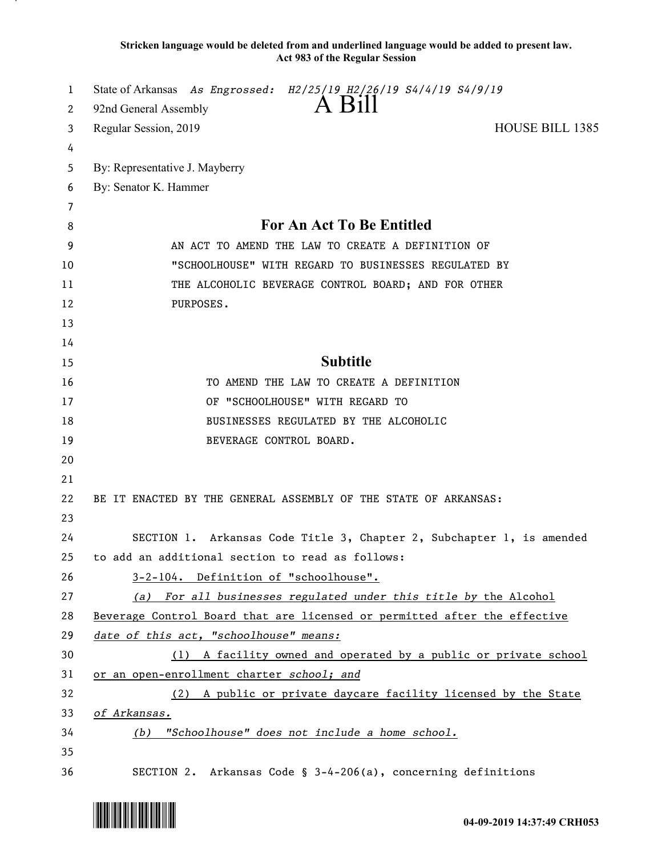**Stricken language would be deleted from and underlined language would be added to present law. Act 983 of the Regular Session**

| 1  | State of Arkansas As Engrossed: H2/25/19 H2/26/19 S4/4/19 S4/9/19         |
|----|---------------------------------------------------------------------------|
| 2  | $A$ Bill<br>92nd General Assembly                                         |
| 3  | <b>HOUSE BILL 1385</b><br>Regular Session, 2019                           |
| 4  |                                                                           |
| 5  | By: Representative J. Mayberry                                            |
| 6  | By: Senator K. Hammer                                                     |
| 7  |                                                                           |
| 8  | For An Act To Be Entitled                                                 |
| 9  | AN ACT TO AMEND THE LAW TO CREATE A DEFINITION OF                         |
| 10 | "SCHOOLHOUSE" WITH REGARD TO BUSINESSES REGULATED BY                      |
| 11 | THE ALCOHOLIC BEVERAGE CONTROL BOARD; AND FOR OTHER                       |
| 12 | PURPOSES.                                                                 |
| 13 |                                                                           |
| 14 |                                                                           |
| 15 | <b>Subtitle</b>                                                           |
| 16 | TO AMEND THE LAW TO CREATE A DEFINITION                                   |
| 17 | OF "SCHOOLHOUSE" WITH REGARD TO                                           |
| 18 | BUSINESSES REGULATED BY THE ALCOHOLIC                                     |
| 19 | BEVERAGE CONTROL BOARD.                                                   |
| 20 |                                                                           |
| 21 |                                                                           |
| 22 | BE IT ENACTED BY THE GENERAL ASSEMBLY OF THE STATE OF ARKANSAS:           |
| 23 |                                                                           |
| 24 | SECTION 1. Arkansas Code Title 3, Chapter 2, Subchapter 1, is amended     |
| 25 | to add an additional section to read as follows:                          |
| 26 | 3-2-104. Definition of "schoolhouse".                                     |
| 27 | (a) For all businesses regulated under this title by the Alcohol          |
| 28 | Beverage Control Board that are licensed or permitted after the effective |
| 29 | date of this act, "schoolhouse" means:                                    |
| 30 | (1) A facility owned and operated by a public or private school           |
| 31 | or an open-enrollment charter school; and                                 |
| 32 | (2) A public or private daycare facility licensed by the State            |
| 33 | of Arkansas.                                                              |
| 34 | (b) "Schoolhouse" does not include a home school.                         |
| 35 |                                                                           |
| 36 | SECTION 2. Arkansas Code § 3-4-206(a), concerning definitions             |